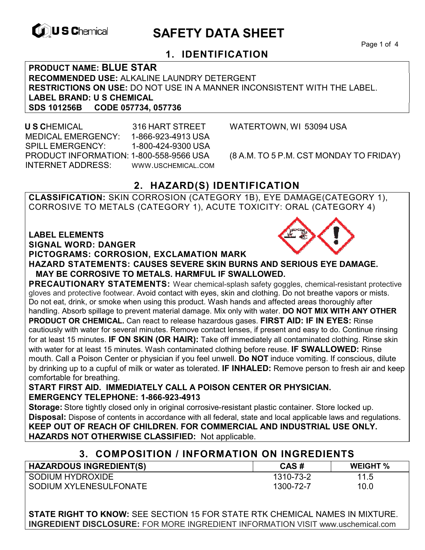

# **EXAGREM** SAFETY DATA SHEET

Page 1 of 4

## **1. IDENTIFICATION**

**PRODUCT NAME: BLUE STAR RECOMMENDED USE:** ALKALINE LAUNDRY DETERGENT **RESTRICTIONS ON USE:** DO NOT USE IN A MANNER INCONSISTENT WITH THE LABEL. **LABEL BRAND: U S CHEMICAL SDS 101256B CODE 057734, 057736** 

 **U S C**HEMICAL 316 HART STREET WATERTOWN, WI 53094 USA MEDICAL EMERGENCY: 1-866-923-4913 USA SPILL EMERGENCY: 1-800-424-9300 USA PRODUCT INFORMATION: 1-800-558-9566 USA (8 A.M. TO 5 P.M. CST MONDAY TO FRIDAY) INTERNET ADDRESS: WWW.USCHEMICAL.COM

## **2. HAZARD(S) IDENTIFICATION**

**CLASSIFICATION:** SKIN CORROSION (CATEGORY 1B), EYE DAMAGE(CATEGORY 1), CORROSIVE TO METALS (CATEGORY 1), ACUTE TOXICITY: ORAL (CATEGORY 4)

**LABEL ELEMENTS** 

**SIGNAL WORD: DANGER**

#### **PICTOGRAMS: CORROSION, EXCLAMATION MARK**



**PRECAUTIONARY STATEMENTS:** Wear chemical-splash safety goggles, chemical-resistant protective gloves and protective footwear. Avoid contact with eyes, skin and clothing. Do not breathe vapors or mists. Do not eat, drink, or smoke when using this product. Wash hands and affected areas thoroughly after handling. Absorb spillage to prevent material damage. Mix only with water. **DO NOT MIX WITH ANY OTHER PRODUCT OR CHEMICAL.** Can react to release hazardous gases. **FIRST AID: IF IN EYES:** Rinse cautiously with water for several minutes. Remove contact lenses, if present and easy to do. Continue rinsing for at least 15 minutes. **IF ON SKIN (OR HAIR):** Take off immediately all contaminated clothing. Rinse skin with water for at least 15 minutes. Wash contaminated clothing before reuse. **IF SWALLOWED:** Rinse mouth. Call a Poison Center or physician if you feel unwell. **Do NOT** induce vomiting. If conscious, dilute by drinking up to a cupful of milk or water as tolerated. **IF INHALED:** Remove person to fresh air and keep comfortable for breathing.

**START FIRST AID. IMMEDIATELY CALL A POISON CENTER OR PHYSICIAN. EMERGENCY TELEPHONE: 1-866-923-4913**

**Storage:** Store tightly closed only in original corrosive-resistant plastic container. Store locked up. **Disposal:** Dispose of contents in accordance with all federal, state and local applicable laws and regulations. **KEEP OUT OF REACH OF CHILDREN. FOR COMMERCIAL AND INDUSTRIAL USE ONLY. HAZARDS NOT OTHERWISE CLASSIFIED:** Not applicable.

## **3. COMPOSITION / INFORMATION ON INGREDIENTS**

| <b>HAZARDOUS INGREDIENT(S)</b> | CAS#      | <b>WEIGHT %</b> |
|--------------------------------|-----------|-----------------|
| SODIUM HYDROXIDE               | 1310-73-2 | 11.5            |
| SODIUM XYLENESULFONATE         | 1300-72-7 | 10.0            |

**STATE RIGHT TO KNOW:** SEE SECTION 15 FOR STATE RTK CHEMICAL NAMES IN MIXTURE. **INGREDIENT DISCLOSURE:** FOR MORE INGREDIENT INFORMATION VISIT www.uschemical.com

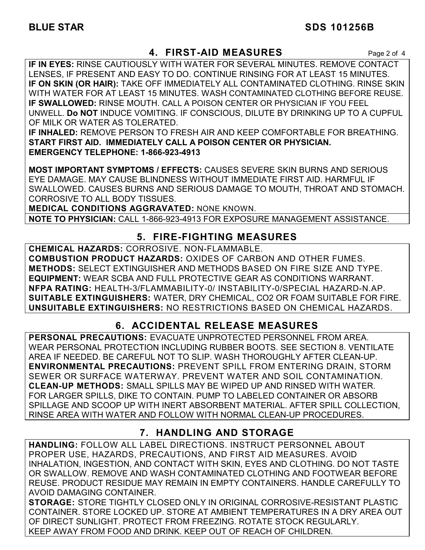### **4. FIRST-AID MEASURES** Page 2 of 4

**IF IN EYES:** RINSE CAUTIOUSLY WITH WATER FOR SEVERAL MINUTES. REMOVE CONTACT LENSES, IF PRESENT AND EASY TO DO. CONTINUE RINSING FOR AT LEAST 15 MINUTES. **IF ON SKIN (OR HAIR):** TAKE OFF IMMEDIATELY ALL CONTAMINATED CLOTHING. RINSE SKIN WITH WATER FOR AT LEAST 15 MINUTES. WASH CONTAMINATED CLOTHING BEFORE REUSE. **IF SWALLOWED:** RINSE MOUTH. CALL A POISON CENTER OR PHYSICIAN IF YOU FEEL UNWELL. **Do NOT** INDUCE VOMITING. IF CONSCIOUS, DILUTE BY DRINKING UP TO A CUPFUL OF MILK OR WATER AS TOLERATED.

**IF INHALED:** REMOVE PERSON TO FRESH AIR AND KEEP COMFORTABLE FOR BREATHING. **START FIRST AID. IMMEDIATELY CALL A POISON CENTER OR PHYSICIAN. EMERGENCY TELEPHONE: 1-866-923-4913**

**MOST IMPORTANT SYMPTOMS / EFFECTS:** CAUSES SEVERE SKIN BURNS AND SERIOUS EYE DAMAGE. MAY CAUSE BLINDNESS WITHOUT IMMEDIATE FIRST AID. HARMFUL IF SWALLOWED. CAUSES BURNS AND SERIOUS DAMAGE TO MOUTH, THROAT AND STOMACH. CORROSIVE TO ALL BODY TISSUES.

**MEDICAL CONDITIONS AGGRAVATED:** NONE KNOWN.

**NOTE TO PHYSICIAN:** CALL 1-866-923-4913 FOR EXPOSURE MANAGEMENT ASSISTANCE.

## **5. FIRE-FIGHTING MEASURES**

**CHEMICAL HAZARDS:** CORROSIVE. NON-FLAMMABLE. **COMBUSTION PRODUCT HAZARDS:** OXIDES OF CARBON AND OTHER FUMES. **METHODS:** SELECT EXTINGUISHER AND METHODS BASED ON FIRE SIZE AND TYPE. **EQUIPMENT:** WEAR SCBA AND FULL PROTECTIVE GEAR AS CONDITIONS WARRANT. **NFPA RATING:** HEALTH-3/FLAMMABILITY-0/ INSTABILITY-0/SPECIAL HAZARD-N.AP. **SUITABLE EXTINGUISHERS:** WATER, DRY CHEMICAL, CO2 OR FOAM SUITABLE FOR FIRE. **UNSUITABLE EXTINGUISHERS:** NO RESTRICTIONS BASED ON CHEMICAL HAZARDS.

## **6. ACCIDENTAL RELEASE MEASURES**

**PERSONAL PRECAUTIONS:** EVACUATE UNPROTECTED PERSONNEL FROM AREA. WEAR PERSONAL PROTECTION INCLUDING RUBBER BOOTS. SEE SECTION 8. VENTILATE AREA IF NEEDED. BE CAREFUL NOT TO SLIP. WASH THOROUGHLY AFTER CLEAN-UP. **ENVIRONMENTAL PRECAUTIONS:** PREVENT SPILL FROM ENTERING DRAIN, STORM SEWER OR SURFACE WATERWAY. PREVENT WATER AND SOIL CONTAMINATION. **CLEAN-UP METHODS:** SMALL SPILLS MAY BE WIPED UP AND RINSED WITH WATER. FOR LARGER SPILLS, DIKE TO CONTAIN. PUMP TO LABELED CONTAINER OR ABSORB SPILLAGE AND SCOOP UP WITH INERT ABSORBENT MATERIAL. AFTER SPILL COLLECTION, RINSE AREA WITH WATER AND FOLLOW WITH NORMAL CLEAN-UP PROCEDURES.

## **7. HANDLING AND STORAGE**

**HANDLING:** FOLLOW ALL LABEL DIRECTIONS. INSTRUCT PERSONNEL ABOUT PROPER USE, HAZARDS, PRECAUTIONS, AND FIRST AID MEASURES. AVOID INHALATION, INGESTION, AND CONTACT WITH SKIN, EYES AND CLOTHING. DO NOT TASTE OR SWALLOW. REMOVE AND WASH CONTAMINATED CLOTHING AND FOOTWEAR BEFORE REUSE. PRODUCT RESIDUE MAY REMAIN IN EMPTY CONTAINERS. HANDLE CAREFULLY TO AVOID DAMAGING CONTAINER.

**STORAGE:** STORE TIGHTLY CLOSED ONLY IN ORIGINAL CORROSIVE-RESISTANT PLASTIC CONTAINER. STORE LOCKED UP. STORE AT AMBIENT TEMPERATURES IN A DRY AREA OUT OF DIRECT SUNLIGHT. PROTECT FROM FREEZING. ROTATE STOCK REGULARLY. KEEP AWAY FROM FOOD AND DRINK. KEEP OUT OF REACH OF CHILDREN.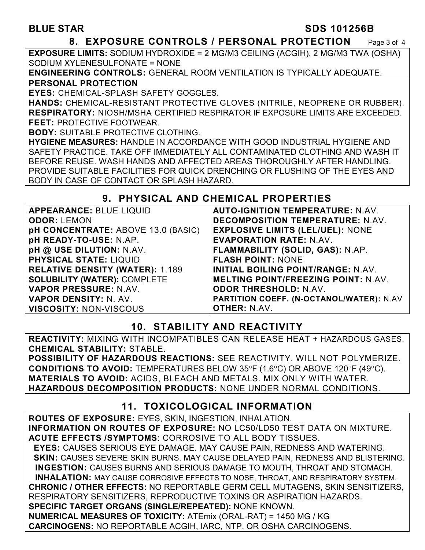#### **BLUE STAR SDS 101256B**

#### **8. EXPOSURE CONTROLS / PERSONAL PROTECTION** Page 3 of 4

**EXPOSURE LIMITS:** SODIUM HYDROXIDE = 2 MG/M3 CEILING (ACGIH), 2 MG/M3 TWA (OSHA) SODIUM XYLENESULFONATE = NONE

**ENGINEERING CONTROLS:** GENERAL ROOM VENTILATION IS TYPICALLY ADEQUATE. **PERSONAL PROTECTION** 

**EYES:** CHEMICAL-SPLASH SAFETY GOGGLES.

**HANDS:** CHEMICAL-RESISTANT PROTECTIVE GLOVES (NITRILE, NEOPRENE OR RUBBER). **RESPIRATORY:** NIOSH/MSHA CERTIFIED RESPIRATOR IF EXPOSURE LIMITS ARE EXCEEDED. **FEET:** PROTECTIVE FOOTWEAR.

**BODY:** SUITABLE PROTECTIVE CLOTHING.

**HYGIENE MEASURES:** HANDLE IN ACCORDANCE WITH GOOD INDUSTRIAL HYGIENE AND SAFETY PRACTICE. TAKE OFF IMMEDIATELY ALL CONTAMINATED CLOTHING AND WASH IT BEFORE REUSE. WASH HANDS AND AFFECTED AREAS THOROUGHLY AFTER HANDLING. PROVIDE SUITABLE FACILITIES FOR QUICK DRENCHING OR FLUSHING OF THE EYES AND BODY IN CASE OF CONTACT OR SPLASH HAZARD.

#### **9. PHYSICAL AND CHEMICAL PROPERTIES**

**APPEARANCE:** BLUE LIQUID **ODOR:** LEMON **pH CONCENTRATE:** ABOVE 13.0 (BASIC) **pH READY-TO-USE:** N.AP. **pH @ USE DILUTION:** N.AV. **PHYSICAL STATE:** LIQUID **RELATIVE DENSITY (WATER):** 1.189 **SOLUBILITY (WATER):** COMPLETE **VAPOR PRESSURE:** N.AV. **VAPOR DENSITY:** N. AV. **VISCOSITY:** NON-VISCOUS

**AUTO-IGNITION TEMPERATURE:** N.AV. **DECOMPOSITION TEMPERATURE:** N.AV. **EXPLOSIVE LIMITS (LEL/UEL):** NONE **EVAPORATION RATE:** N.AV. **FLAMMABILITY (SOLID, GAS):** N.AP. **FLASH POINT:** NONE **INITIAL BOILING POINT/RANGE:** N.AV. **MELTING POINT/FREEZING POINT:** N.AV. **ODOR THRESHOLD:** N.AV. **PARTITION COEFF. (N-OCTANOL/WATER):** N.AV **OTHER:** N.AV.

## **10. STABILITY AND REACTIVITY**

**REACTIVITY:** MIXING WITH INCOMPATIBLES CAN RELEASE HEAT + HAZARDOUS GASES. **CHEMICAL STABILITY:** STABLE.

**POSSIBILITY OF HAZARDOUS REACTIONS:** SEE REACTIVITY. WILL NOT POLYMERIZE. **CONDITIONS TO AVOID:** TEMPERATURES BELOW 35°F (1.6°C) OR ABOVE 120°F (49°C). **MATERIALS TO AVOID:** ACIDS, BLEACH AND METALS. MIX ONLY WITH WATER. **HAZARDOUS DECOMPOSITION PRODUCTS:** NONE UNDER NORMAL CONDITIONS.

## **11. TOXICOLOGICAL INFORMATION**

**ROUTES OF EXPOSURE:** EYES, SKIN, INGESTION, INHALATION. **INFORMATION ON ROUTES OF EXPOSURE:** NO LC50/LD50 TEST DATA ON MIXTURE. **ACUTE EFFECTS /SYMPTOMS**: CORROSIVE TO ALL BODY TISSUES.  **EYES:** CAUSES SERIOUS EYE DAMAGE. MAY CAUSE PAIN, REDNESS AND WATERING.  **SKIN:** CAUSES SEVERE SKIN BURNS. MAY CAUSE DELAYED PAIN, REDNESS AND BLISTERING. **INGESTION:** CAUSES BURNS AND SERIOUS DAMAGE TO MOUTH, THROAT AND STOMACH. **INHALATION:** MAY CAUSE CORROSIVE EFFECTS TO NOSE, THROAT, AND RESPIRATORY SYSTEM. **CHRONIC / OTHER EFFECTS:** NO REPORTABLE GERM CELL MUTAGENS, SKIN SENSITIZERS, RESPIRATORY SENSITIZERS, REPRODUCTIVE TOXINS OR ASPIRATION HAZARDS. **SPECIFIC TARGET ORGANS (SINGLE/REPEATED):** NONE KNOWN. **NUMERICAL MEASURES OF TOXICITY:** ATEmix (ORAL-RAT) = 1450 MG / KG **CARCINOGENS:** NO REPORTABLE ACGIH, IARC, NTP, OR OSHA CARCINOGENS.